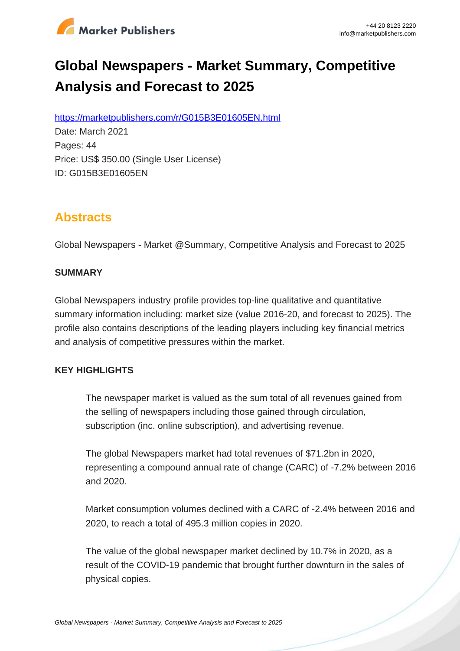

# **Global Newspapers - Market Summary, Competitive Analysis and Forecast to 2025**

https://marketpublishers.com/r/G015B3E01605EN.html

Date: March 2021 Pages: 44 Price: US\$ 350.00 (Single User License) ID: G015B3E01605EN

# **Abstracts**

Global Newspapers - Market @Summary, Competitive Analysis and Forecast to 2025

# **SUMMARY**

Global Newspapers industry profile provides top-line qualitative and quantitative summary information including: market size (value 2016-20, and forecast to 2025). The profile also contains descriptions of the leading players including key financial metrics and analysis of competitive pressures within the market.

# **KEY HIGHLIGHTS**

The newspaper market is valued as the sum total of all revenues gained from the selling of newspapers including those gained through circulation, subscription (inc. online subscription), and advertising revenue.

The global Newspapers market had total revenues of \$71.2bn in 2020, representing a compound annual rate of change (CARC) of -7.2% between 2016 and 2020.

Market consumption volumes declined with a CARC of -2.4% between 2016 and 2020, to reach a total of 495.3 million copies in 2020.

The value of the global newspaper market declined by 10.7% in 2020, as a result of the COVID-19 pandemic that brought further downturn in the sales of physical copies.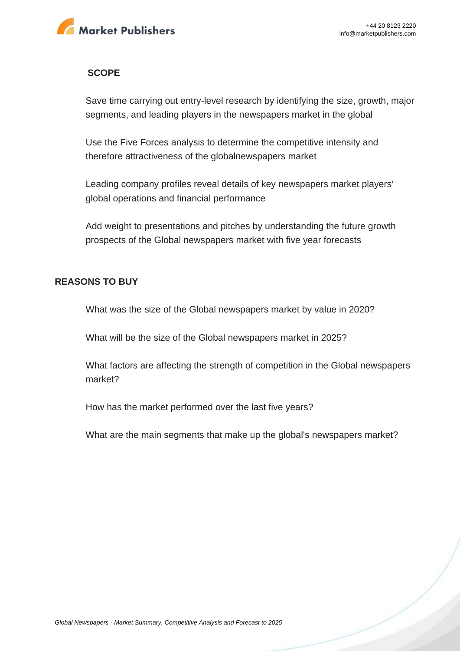

### **SCOPE**

Save time carrying out entry-level research by identifying the size, growth, major segments, and leading players in the newspapers market in the global

Use the Five Forces analysis to determine the competitive intensity and therefore attractiveness of the globalnewspapers market

Leading company profiles reveal details of key newspapers market players' global operations and financial performance

Add weight to presentations and pitches by understanding the future growth prospects of the Global newspapers market with five year forecasts

#### **REASONS TO BUY**

What was the size of the Global newspapers market by value in 2020?

What will be the size of the Global newspapers market in 2025?

What factors are affecting the strength of competition in the Global newspapers market?

How has the market performed over the last five years?

What are the main segments that make up the global's newspapers market?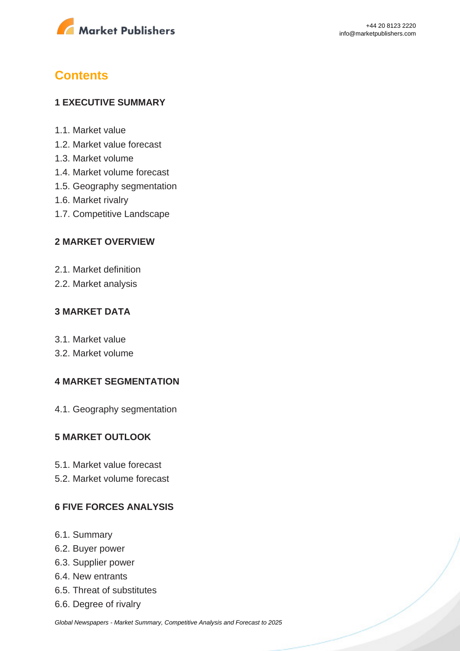

# **Contents**

# **1 EXECUTIVE SUMMARY**

- 1.1. Market value
- 1.2. Market value forecast
- 1.3. Market volume
- 1.4. Market volume forecast
- 1.5. Geography segmentation
- 1.6. Market rivalry
- 1.7. Competitive Landscape

# **2 MARKET OVERVIEW**

- 2.1. Market definition
- 2.2. Market analysis

# **3 MARKET DATA**

- 3.1. Market value
- 3.2. Market volume

# **4 MARKET SEGMENTATION**

4.1. Geography segmentation

# **5 MARKET OUTLOOK**

- 5.1. Market value forecast
- 5.2. Market volume forecast

# **6 FIVE FORCES ANALYSIS**

- 6.1. Summary
- 6.2. Buyer power
- 6.3. Supplier power
- 6.4. New entrants
- 6.5. Threat of substitutes
- 6.6. Degree of rivalry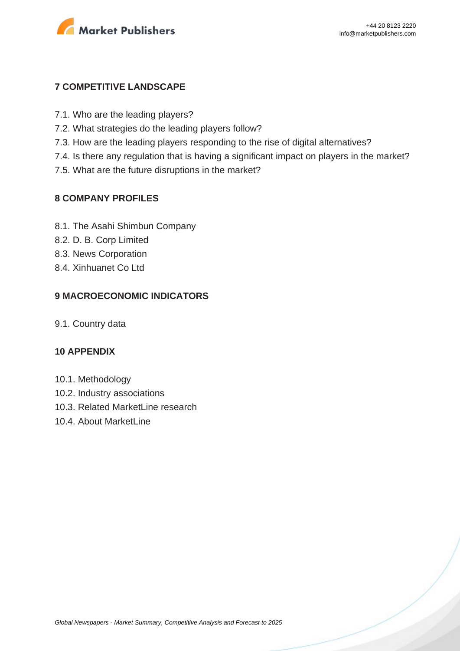

# **7 COMPETITIVE LANDSCAPE**

- 7.1. Who are the leading players?
- 7.2. What strategies do the leading players follow?
- 7.3. How are the leading players responding to the rise of digital alternatives?
- 7.4. Is there any regulation that is having a significant impact on players in the market?
- 7.5. What are the future disruptions in the market?

### **8 COMPANY PROFILES**

- 8.1. The Asahi Shimbun Company
- 8.2. D. B. Corp Limited
- 8.3. News Corporation
- 8.4. Xinhuanet Co Ltd

# **9 MACROECONOMIC INDICATORS**

9.1. Country data

#### **10 APPENDIX**

- 10.1. Methodology
- 10.2. Industry associations
- 10.3. Related MarketLine research
- 10.4. About MarketLine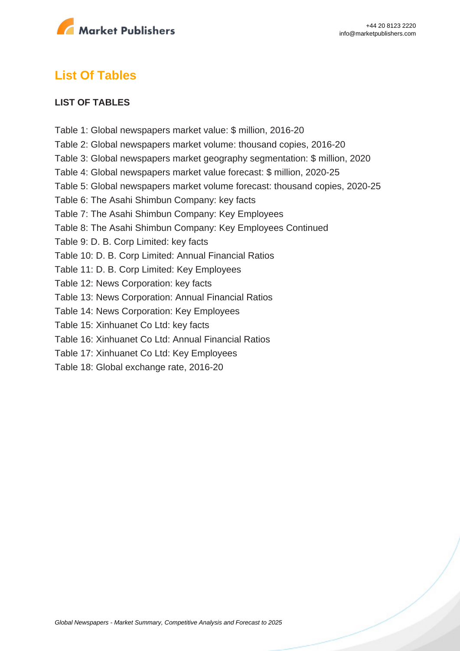

# **List Of Tables**

### **LIST OF TABLES**

Table 1: Global newspapers market value: \$ million, 2016-20 Table 2: Global newspapers market volume: thousand copies, 2016-20 Table 3: Global newspapers market geography segmentation: \$ million, 2020 Table 4: Global newspapers market value forecast: \$ million, 2020-25 Table 5: Global newspapers market volume forecast: thousand copies, 2020-25 Table 6: The Asahi Shimbun Company: key facts Table 7: The Asahi Shimbun Company: Key Employees Table 8: The Asahi Shimbun Company: Key Employees Continued Table 9: D. B. Corp Limited: key facts Table 10: D. B. Corp Limited: Annual Financial Ratios Table 11: D. B. Corp Limited: Key Employees Table 12: News Corporation: key facts Table 13: News Corporation: Annual Financial Ratios Table 14: News Corporation: Key Employees Table 15: Xinhuanet Co Ltd: key facts Table 16: Xinhuanet Co Ltd: Annual Financial Ratios Table 17: Xinhuanet Co Ltd: Key Employees Table 18: Global exchange rate, 2016-20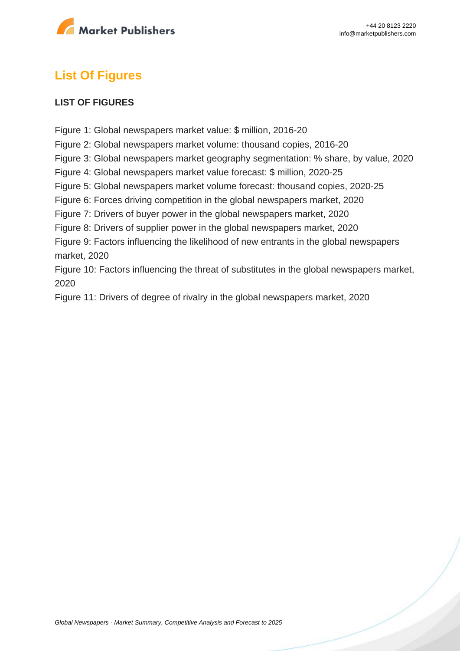

# **List Of Figures**

### **LIST OF FIGURES**

Figure 1: Global newspapers market value: \$ million, 2016-20 Figure 2: Global newspapers market volume: thousand copies, 2016-20 Figure 3: Global newspapers market geography segmentation: % share, by value, 2020 Figure 4: Global newspapers market value forecast: \$ million, 2020-25 Figure 5: Global newspapers market volume forecast: thousand copies, 2020-25 Figure 6: Forces driving competition in the global newspapers market, 2020 Figure 7: Drivers of buyer power in the global newspapers market, 2020 Figure 8: Drivers of supplier power in the global newspapers market, 2020 Figure 9: Factors influencing the likelihood of new entrants in the global newspapers market, 2020 Figure 10: Factors influencing the threat of substitutes in the global newspapers market, 2020

Figure 11: Drivers of degree of rivalry in the global newspapers market, 2020